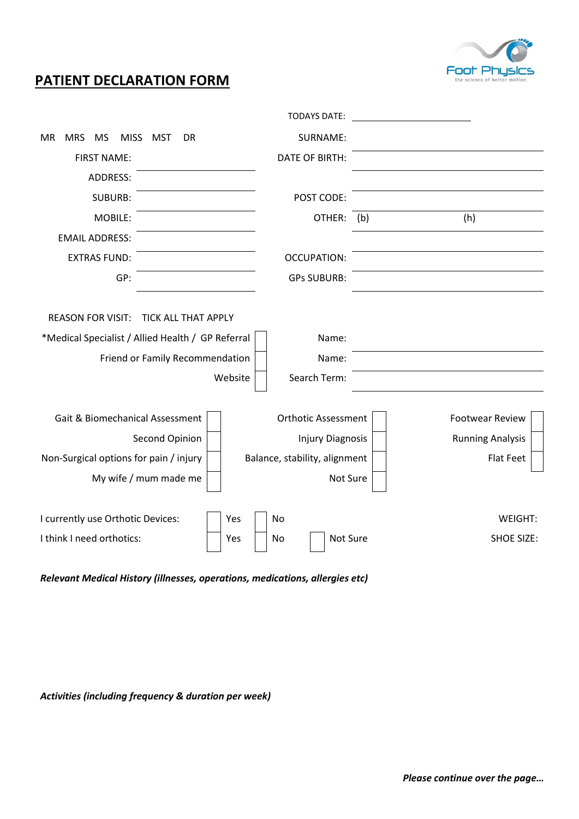

# **PATIENT DECLARATION FORM**

|                                                                                                                                                |         | <b>TODAYS DATE:</b>            |     |                         |  |
|------------------------------------------------------------------------------------------------------------------------------------------------|---------|--------------------------------|-----|-------------------------|--|
| <b>MR</b><br><b>MRS</b><br>MS<br><b>MISS</b><br>MST<br>DR                                                                                      |         | SURNAME:                       |     |                         |  |
| <b>FIRST NAME:</b>                                                                                                                             |         | <b>DATE OF BIRTH:</b>          |     |                         |  |
| <b>ADDRESS:</b>                                                                                                                                |         |                                |     |                         |  |
| <b>SUBURB:</b>                                                                                                                                 |         | POST CODE:                     |     |                         |  |
| MOBILE:                                                                                                                                        |         | OTHER:                         | (b) | (h)                     |  |
| <b>EMAIL ADDRESS:</b>                                                                                                                          |         |                                |     |                         |  |
| <b>EXTRAS FUND:</b>                                                                                                                            |         | <b>OCCUPATION:</b>             |     |                         |  |
| GP:                                                                                                                                            |         | <b>GPs SUBURB:</b>             |     |                         |  |
| <b>REASON FOR VISIT:</b><br><b>TICK ALL THAT APPLY</b><br>*Medical Specialist / Allied Health / GP Referral<br>Friend or Family Recommendation | Website | Name:<br>Name:<br>Search Term: |     |                         |  |
| Gait & Biomechanical Assessment                                                                                                                |         | <b>Orthotic Assessment</b>     |     | <b>Footwear Review</b>  |  |
| Second Opinion                                                                                                                                 |         | <b>Injury Diagnosis</b>        |     | <b>Running Analysis</b> |  |
| Non-Surgical options for pain / injury                                                                                                         |         | Balance, stability, alignment  |     | <b>Flat Feet</b>        |  |
| My wife / mum made me                                                                                                                          |         | Not Sure                       |     |                         |  |
| I currently use Orthotic Devices:                                                                                                              | Yes     | No                             |     | WEIGHT:                 |  |
| I think I need orthotics:                                                                                                                      | Yes     | Not Sure<br>No                 |     | <b>SHOE SIZE:</b>       |  |

*Relevant Medical History (illnesses, operations, medications, allergies etc)*

*Activities (including frequency & duration per week)*